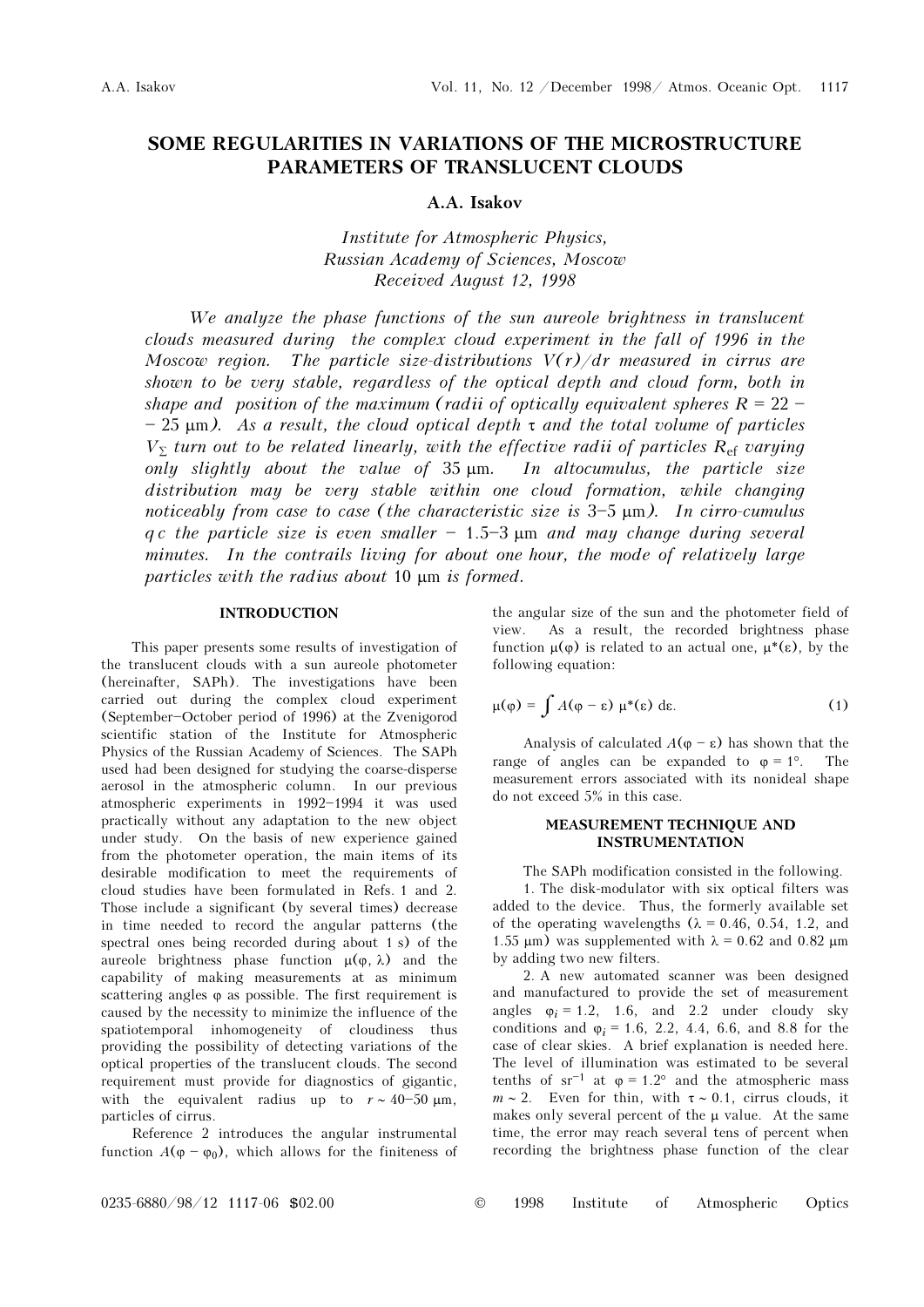# SOME REGULARITIES IN VARIATIONS OF THE MICROSTRUCTURE PARAMETERS OF TRANSLUCENT CLOUDS

## A.A. Isakov

Institute for Atmospheric Physics, Russian Academy of Sciences, Moscow Received August 12, 1998

We analyze the phase functions of the sun aureole brightness in translucent clouds measured during the complex cloud experiment in the fall of 1996 in the Moscow region. The particle size-distributions  $V(r)/dr$  measured in cirrus are shown to be very stable, regardless of the optical depth and cloud form, both in shape and position of the maximum (radii of optically equivalent spheres  $R = 22 -25 \mu m$ ). As a result, the cloud optical depth  $\tau$  and the total volume of particles  $V_{\Sigma}$  turn out to be related linearly, with the effective radii of particles  $R_{\rm ef}$  varying only slightly about the value of 35 μm. In altocumulus, the particle size distribution may be very stable within one cloud formation, while changing noticeably from case to case (the characteristic size is  $3-5 \mu m$ ). In cirro-cumulus q c the particle size is even smaller  $-1.5-3 \mu m$  and may change during several minutes. In the contrails living for about one hour, the mode of relatively large particles with the radius about 10 μm is formed.

### INTRODUCTION

This paper presents some results of investigation of the translucent clouds with a sun aureole photometer (hereinafter, SAPh). The investigations have been carried out during the complex cloud experiment (September-October period of 1996) at the Zvenigorod scientific station of the Institute for Atmospheric Physics of the Russian Academy of Sciences. The SAPh used had been designed for studying the coarse-disperse aerosol in the atmospheric column. In our previous atmospheric experiments in 1992-1994 it was used practically without any adaptation to the new object under study. On the basis of new experience gained from the photometer operation, the main items of its desirable modification to meet the requirements of cloud studies have been formulated in Refs. 1 and 2. Those include a significant (by several times) decrease in time needed to record the angular patterns (the spectral ones being recorded during about 1 s) of the aureole brightness phase function  $\mu(\varphi, \lambda)$  and the capability of making measurements at as minimum scattering angles φ as possible. The first requirement is caused by the necessity to minimize the influence of the spatiotemporal inhomogeneity of cloudiness thus providing the possibility of detecting variations of the optical properties of the translucent clouds. The second requirement must provide for diagnostics of gigantic, with the equivalent radius up to  $r \sim 40-50 \text{ }\mu\text{m}$ , particles of cirrus.

Reference 2 introduces the angular instrumental function  $A(\varphi - \varphi_0)$ , which allows for the finiteness of the angular size of the sun and the photometer field of view. As a result, the recorded brightness phase function  $\mu$ (φ) is related to an actual one,  $\mu^*(\varepsilon)$ , by the following equation:

$$
\mu(\varphi) = \int A(\varphi - \varepsilon) \mu^*(\varepsilon) d\varepsilon. \tag{1}
$$

Analysis of calculated  $A(\varphi - \varepsilon)$  has shown that the range of angles can be expanded to  $\varphi = 1^{\circ}$ . The measurement errors associated with its nonideal shape do not exceed 5% in this case.

## MEASUREMENT TECHNIQUE AND INSTRUMENTATION

The SAPh modification consisted in the following. 1. The disk-modulator with six optical filters was added to the device. Thus, the formerly available set of the operating wavelengths  $(\lambda = 0.46, 0.54, 1.2,$  and 1.55 μm) was supplemented with  $\lambda = 0.62$  and 0.82 μm by adding two new filters.

2. A new automated scanner was been designed and manufactured to provide the set of measurement angles  $\varphi_i = 1.2$ , 1.6, and 2.2 under cloudy sky conditions and  $\varphi_i = 1.6, 2.2, 4.4, 6.6,$  and 8.8 for the case of clear skies. A brief explanation is needed here. The level of illumination was estimated to be several tenths of  $sr^{-1}$  at  $\varphi = 1.2^{\circ}$  and the atmospheric mass  $m \sim 2$ . Even for thin, with  $\tau \sim 0.1$ , cirrus clouds, it makes only several percent of the  $\mu$  value. At the same time, the error may reach several tens of percent when recording the brightness phase function of the clear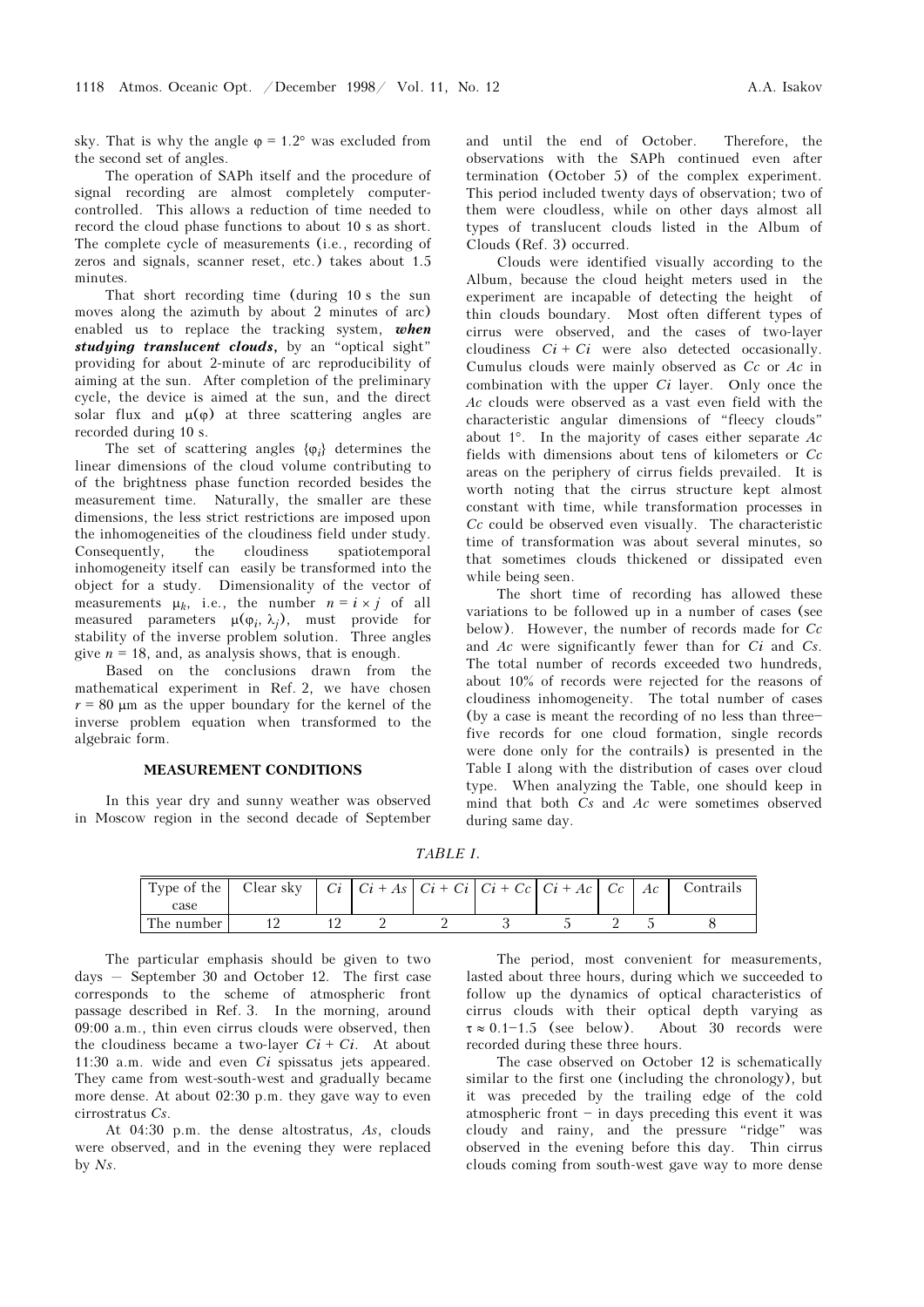sky. That is why the angle  $\varphi = 1.2^{\circ}$  was excluded from the second set of angles.

The operation of SAPh itself and the procedure of signal recording are almost completely computercontrolled. This allows a reduction of time needed to record the cloud phase functions to about 10 s as short. The complete cycle of measurements (i.e., recording of zeros and signals, scanner reset, etc.) takes about 1.5 minutes.

That short recording time (during 10 s the sun moves along the azimuth by about 2 minutes of arc) enabled us to replace the tracking system, when studying translucent clouds, by an "optical sight" providing for about 2-minute of arc reproducibility of aiming at the sun. After completion of the preliminary cycle, the device is aimed at the sun, and the direct solar flux and  $\mu(\varphi)$  at three scattering angles are recorded during 10 s.

The set of scattering angles  $\{\varphi_i\}$  determines the linear dimensions of the cloud volume contributing to of the brightness phase function recorded besides the measurement time. Naturally, the smaller are these dimensions, the less strict restrictions are imposed upon the inhomogeneities of the cloudiness field under study. Consequently, the cloudiness spatiotemporal inhomogeneity itself can easily be transformed into the object for a study. Dimensionality of the vector of measurements  $\mu_k$ , i.e., the number  $n = i \times j$  of all measured parameters  $\mu(\varphi_i, \lambda_j)$ , must provide for stability of the inverse problem solution. Three angles give  $n = 18$ , and, as analysis shows, that is enough.

Based on the conclusions drawn from the mathematical experiment in Ref. 2, we have chosen  $r = 80$  μm as the upper boundary for the kernel of the inverse problem equation when transformed to the algebraic form.

#### MEASUREMENT CONDITIONS

In this year dry and sunny weather was observed in Moscow region in the second decade of September and until the end of October. Therefore, the observations with the SAPh continued even after termination (October 5) of the complex experiment. This period included twenty days of observation; two of them were cloudless, while on other days almost all types of translucent clouds listed in the Album of Clouds (Ref. 3) occurred.

Clouds were identified visually according to the Album, because the cloud height meters used in the experiment are incapable of detecting the height of thin clouds boundary. Most often different types of cirrus were observed, and the cases of two-layer cloudiness  $Ci + Ci$  were also detected occasionally. Cumulus clouds were mainly observed as  $Cc$  or  $Ac$  in combination with the upper  $Ci$  layer. Only once the Ac clouds were observed as a vast even field with the characteristic angular dimensions of "fleecy clouds" about  $1^\circ$ . In the majority of cases either separate Ac fields with dimensions about tens of kilometers or  $Cc$ areas on the periphery of cirrus fields prevailed. It is worth noting that the cirrus structure kept almost constant with time, while transformation processes in  $Cc$  could be observed even visually. The characteristic time of transformation was about several minutes, so that sometimes clouds thickened or dissipated even while being seen.

The short time of recording has allowed these variations to be followed up in a number of cases (see below). However, the number of records made for  $Cc$ and  $Ac$  were significantly fewer than for  $Ci$  and  $Cs$ . The total number of records exceeded two hundreds, about 10% of records were rejected for the reasons of cloudiness inhomogeneity. The total number of cases (by a case is meant the recording of no less than threefive records for one cloud formation, single records were done only for the contrails) is presented in the Table I along with the distribution of cases over cloud type. When analyzing the Table, one should keep in mind that both  $Cs$  and  $Ac$  were sometimes observed during same day.

TABLE I.

|            |  |  |  |  | Contrails |
|------------|--|--|--|--|-----------|
| case       |  |  |  |  |           |
| The number |  |  |  |  |           |

The particular emphasis should be given to two days  $-$  September 30 and October 12. The first case corresponds to the scheme of atmospheric front passage described in Ref. 3. In the morning, around 09:00 a.m., thin even cirrus clouds were observed, then the cloudiness became a two-layer  $Ci + Ci$ . At about 11:30 a.m. wide and even  $Ci$  spissatus jets appeared. They came from west-south-west and gradually became more dense. At about 02:30 p.m. they gave way to even cirrostratus Cs.

At 04:30 p.m. the dense altostratus, As, clouds were observed, and in the evening they were replaced by Ns.

The period, most convenient for measurements, lasted about three hours, during which we succeeded to follow up the dynamics of optical characteristics of cirrus clouds with their optical depth varying as  $\tau \approx 0.1 - 1.5$  (see below). About 30 records were recorded during these three hours.

The case observed on October 12 is schematically similar to the first one (including the chronology), but it was preceded by the trailing edge of the cold atmospheric front  $-$  in days preceding this event it was cloudy and rainy, and the pressure "ridge" was observed in the evening before this day. Thin cirrus clouds coming from south-west gave way to more dense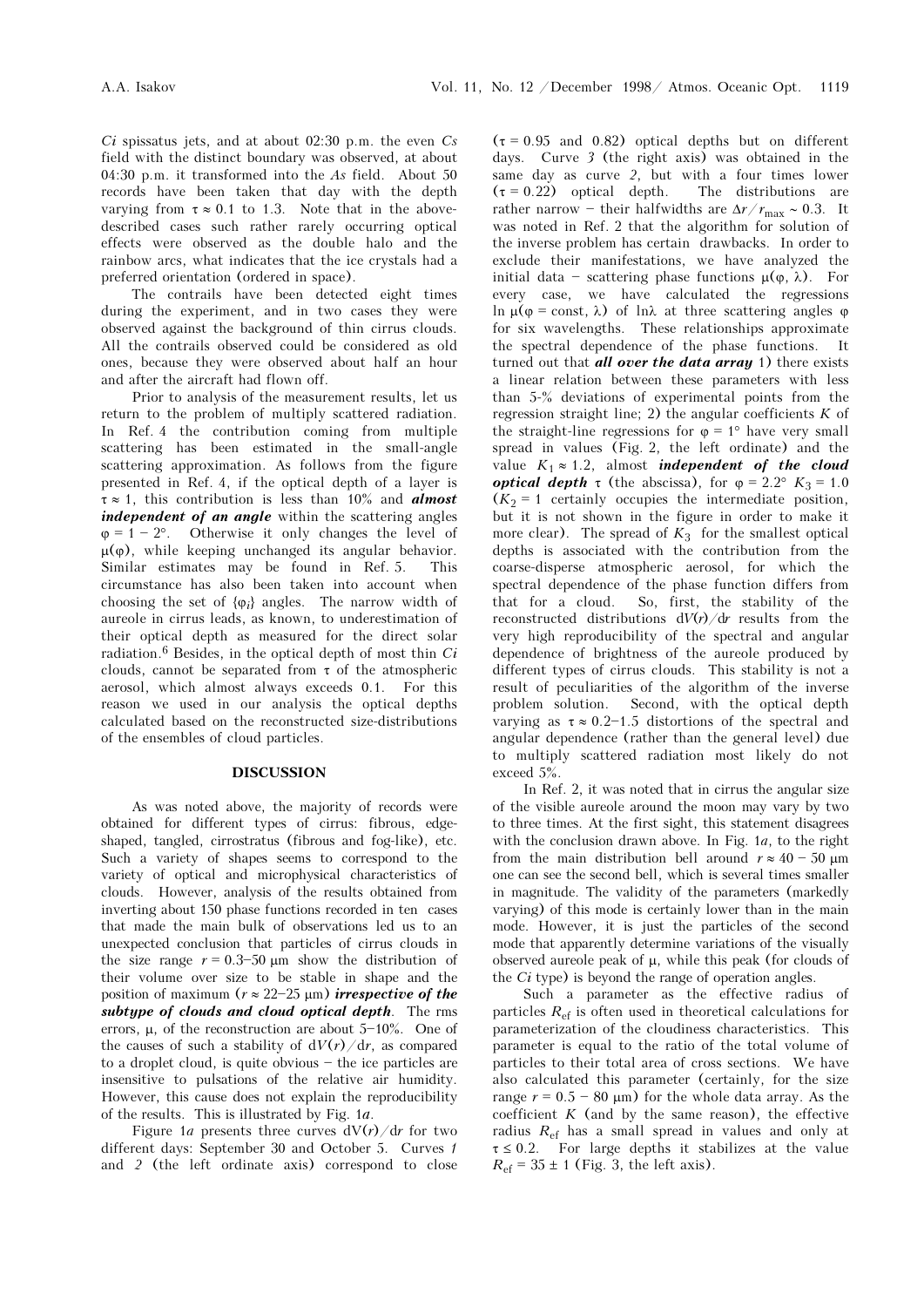$Ci$  spissatus jets, and at about 02:30 p.m. the even  $Cs$ field with the distinct boundary was observed, at about 04:30 p.m. it transformed into the As field. About 50 records have been taken that day with the depth varying from  $\tau \approx 0.1$  to 1.3. Note that in the abovedescribed cases such rather rarely occurring optical effects were observed as the double halo and the rainbow arcs, what indicates that the ice crystals had a preferred orientation (ordered in space).

The contrails have been detected eight times during the experiment, and in two cases they were observed against the background of thin cirrus clouds. All the contrails observed could be considered as old ones, because they were observed about half an hour and after the aircraft had flown off.

Prior to analysis of the measurement results, let us return to the problem of multiply scattered radiation. In Ref. 4 the contribution coming from multiple scattering has been estimated in the small-angle scattering approximation. As follows from the figure presented in Ref. 4, if the optical depth of a layer is  $\tau \approx 1$ , this contribution is less than 10% and **almost** independent of an angle within the scattering angles  $\varphi = 1 - 2^{\circ}$ . Otherwise it only changes the level of  $\mu(\varphi)$ , while keeping unchanged its angular behavior. Similar estimates may be found in Ref. 5. This circumstance has also been taken into account when choosing the set of  $\{\varphi_i\}$  angles. The narrow width of aureole in cirrus leads, as known, to underestimation of their optical depth as measured for the direct solar radiation.<sup>6</sup> Besides, in the optical depth of most thin  $Ci$ clouds, cannot be separated from  $\tau$  of the atmospheric aerosol, which almost always exceeds 0.1. For this reason we used in our analysis the optical depths calculated based on the reconstructed size-distributions of the ensembles of cloud particles.

## DISCUSSION

As was noted above, the majority of records were obtained for different types of cirrus: fibrous, edgeshaped, tangled, cirrostratus (fibrous and fog-like), etc. Such a variety of shapes seems to correspond to the variety of optical and microphysical characteristics of clouds. However, analysis of the results obtained from inverting about 150 phase functions recorded in ten cases that made the main bulk of observations led us to an unexpected conclusion that particles of cirrus clouds in the size range  $r = 0.3{\text -}50 \text{ }\mu\text{m}$  show the distribution of their volume over size to be stable in shape and the position of maximum ( $r \approx 22{\text -}25 \text{ }\mu\text{m}$ ) irrespective of the subtupe of clouds and cloud optical depth. The rms errors,  $\mu$ , of the reconstruction are about  $5-10\%$ . One of the causes of such a stability of  $dV(r)/dr$ , as compared to a droplet cloud, is quite obvious  $-$  the ice particles are insensitive to pulsations of the relative air humidity. However, this cause does not explain the reproducibility of the results. This is illustrated by Fig. 1a.

Figure 1*a* presents three curves  $dV(r)/dr$  for two different days: September 30 and October 5. Curves 1 and 2 (the left ordinate axis) correspond to close  $(\tau = 0.95$  and 0.82) optical depths but on different days. Curve 3 (the right axis) was obtained in the same day as curve 2, but with a four times lower  $(\tau = 0.22)$  optical depth. The distributions are rather narrow - their halfwidths are  $\Delta r/r_{\rm max} \sim 0.3$ . It was noted in Ref. 2 that the algorithm for solution of the inverse problem has certain drawbacks. In order to exclude their manifestations, we have analyzed the initial data - scattering phase functions  $\mu(\varphi, \lambda)$ . For every case, we have calculated the regressions ln  $\mu$ (φ = const, λ) of lnλ at three scattering angles φ for six wavelengths. These relationships approximate the spectral dependence of the phase functions. It turned out that *all over the data array* 1) there exists a linear relation between these parameters with less than 5-% deviations of experimental points from the regression straight line; 2) the angular coefficients  $K$  of the straight-line regressions for  $\varphi = 1^{\circ}$  have very small spread in values (Fig. 2, the left ordinate) and the value  $K_1 \approx 1.2$ , almost *independent* of the cloud **optical depth** τ (the abscissa), for  $φ = 2.2°$   $K_3 = 1.0$  $(K_2 = 1$  certainly occupies the intermediate position, but it is not shown in the figure in order to make it more clear). The spread of  $K_3$  for the smallest optical depths is associated with the contribution from the coarse-disperse atmospheric aerosol, for which the spectral dependence of the phase function differs from that for a cloud. So, first, the stability of the reconstructed distributions  $dV(r)/dr$  results from the very high reproducibility of the spectral and angular dependence of brightness of the aureole produced by different types of cirrus clouds. This stability is not a result of peculiarities of the algorithm of the inverse problem solution. Second, with the optical depth varying as  $\tau \approx 0.2$ -1.5 distortions of the spectral and angular dependence (rather than the general level) due to multiply scattered radiation most likely do not exceed 5%.

In Ref. 2, it was noted that in cirrus the angular size of the visible aureole around the moon may vary by two to three times. At the first sight, this statement disagrees with the conclusion drawn above. In Fig. 1a, to the right from the main distribution bell around  $r \approx 40 - 50 \text{ }\mu\text{m}$ one can see the second bell, which is several times smaller in magnitude. The validity of the parameters (markedly varying) of this mode is certainly lower than in the main mode. However, it is just the particles of the second mode that apparently determine variations of the visually observed aureole peak of  $\mu$ , while this peak (for clouds of the Ci type) is beyond the range of operation angles.

Such a parameter as the effective radius of particles  $R<sub>ef</sub>$  is often used in theoretical calculations for parameterization of the cloudiness characteristics. This parameter is equal to the ratio of the total volume of particles to their total area of cross sections. We have also calculated this parameter (certainly, for the size range  $r = 0.5 - 80 \text{ }\mu\text{m}$ ) for the whole data array. As the coefficient  $K$  (and by the same reason), the effective radius  $R_{\text{ef}}$  has a small spread in values and only at  $\tau \leq 0.2$ . For large depths it stabilizes at the value  $R_{\text{ef}}$  = 35  $\pm$  1 (Fig. 3, the left axis).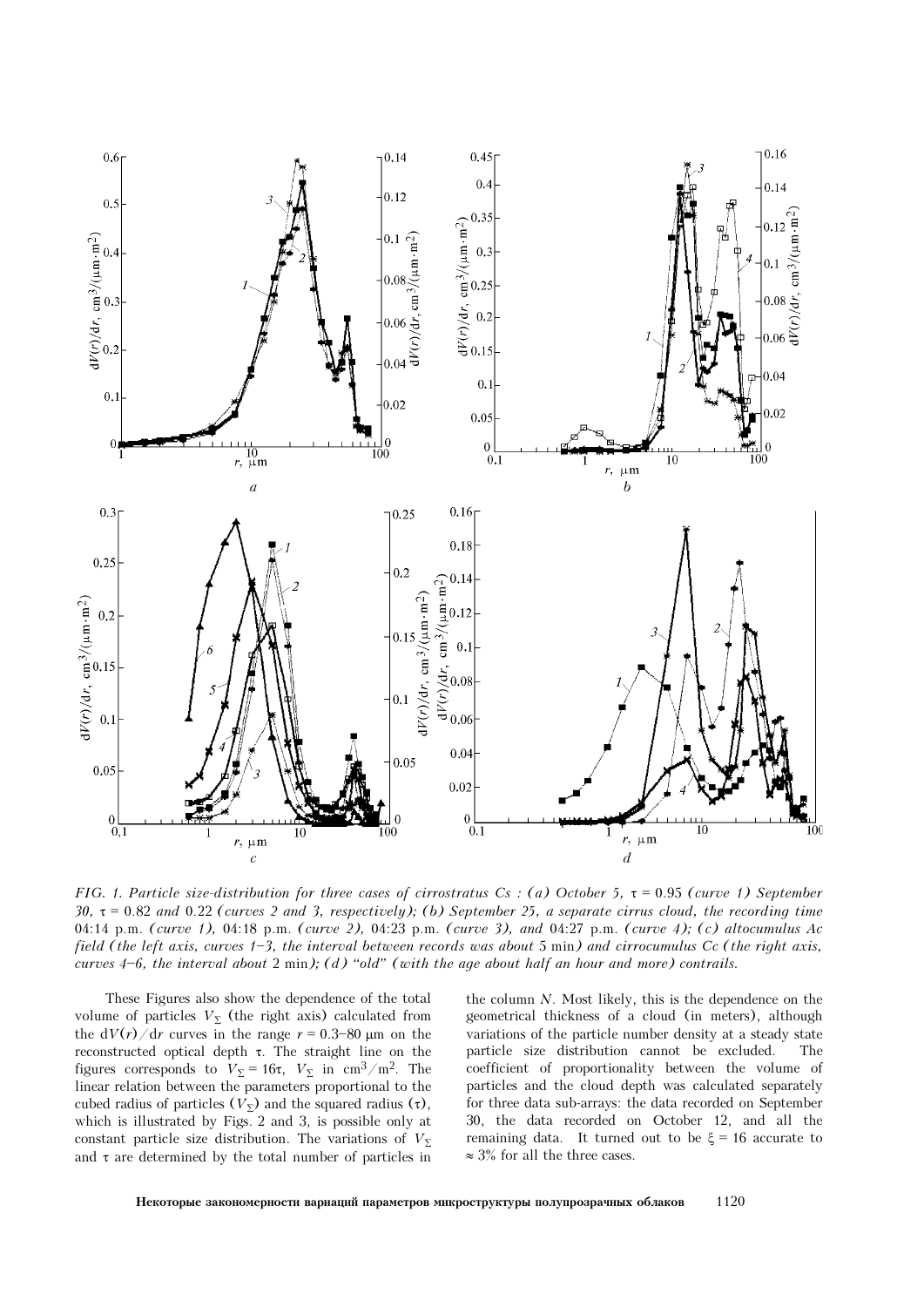

FIG. 1. Particle size-distribution for three cases of cirrostratus Cs : (a) October 5,  $\tau$  = 0.95 (curve 1) September  $30, \tau = 0.82$  and  $0.22$  (curves 2 and 3, respectively); (b) September 25, a separate cirrus cloud, the recording time 04:14 p.m. (curve 1), 04:18 p.m. (curve 2), 04:23 p.m. (curve 3), and 04:27 p.m. (curve 4); (c) altocumulus Ac field (the left axis, curves  $1-3$ , the interval between records was about 5 min) and cirrocumulus Cc (the right axis, curves  $4-6$ , the interval about 2 min); (d) "old" (with the age about half an hour and more) contrails.

These Figures also show the dependence of the total volume of particles  $V_{\Sigma}$  (the right axis) calculated from the  $dV(r)/dr$  curves in the range  $r = 0.3-80 \mu m$  on the reconstructed optical depth τ. The straight line on the figures corresponds to  $V_{\Sigma} = 16\tau$ ,  $V_{\Sigma}$  in cm<sup>3</sup>/m<sup>2</sup>. The linear relation between the parameters proportional to the cubed radius of particles  $(V<sub>\Sigma</sub>)$  and the squared radius  $(τ)$ , which is illustrated by Figs. 2 and 3, is possible only at constant particle size distribution. The variations of  $V<sub>Σ</sub>$ and  $\tau$  are determined by the total number of particles in the column N. Most likely, this is the dependence on the geometrical thickness of a cloud (in meters), although variations of the particle number density at a steady state particle size distribution cannot be excluded. The coefficient of proportionality between the volume of particles and the cloud depth was calculated separately for three data sub-arrays: the data recorded on September 30, the data recorded on October 12, and all the remaining data. It turned out to be  $\xi = 16$  accurate to  $≈ 3%$  for all the three cases.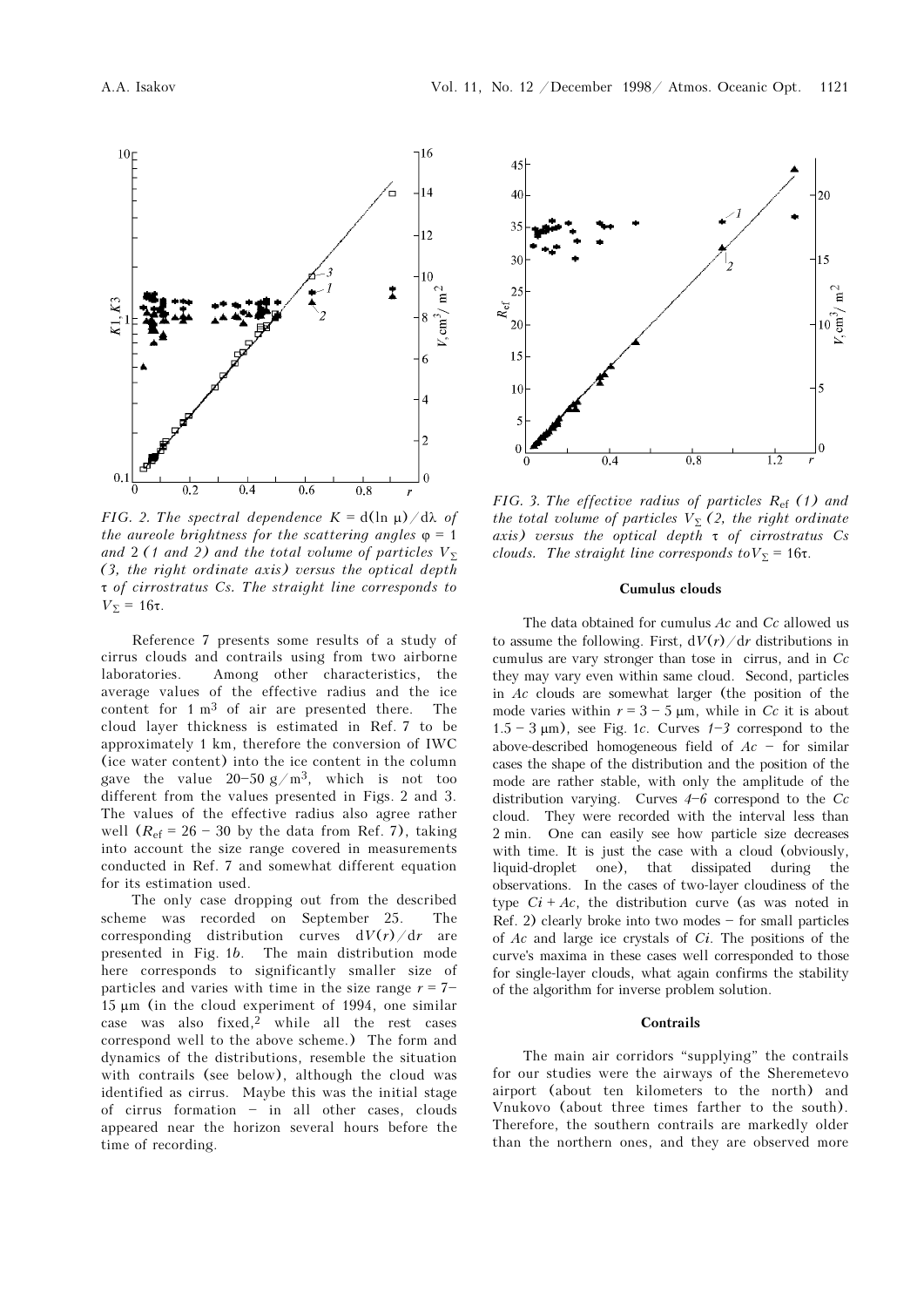

FIG. 2. The spectral dependence  $K = d(\ln \mu)/d\lambda$  of the aureole brightness for the scattering angles  $\varphi = 1$ and 2 (1 and 2) and the total volume of particles  $V_{\Sigma}$ (3, the right ordinate axis) versus the optical depth τ of cirrostratus Cs. The straight line corresponds to  $V<sub>Σ</sub> = 16τ.$ 

Reference 7 presents some results of a study of cirrus clouds and contrails using from two airborne laboratories. Among other characteristics, the average values of the effective radius and the ice content for 1 m3 of air are presented there. The cloud layer thickness is estimated in Ref. 7 to be approximately 1 km, therefore the conversion of IWC (ice water content) into the ice content in the column gave the value  $20-50 g/m^3$ , which is not too different from the values presented in Figs. 2 and 3. The values of the effective radius also agree rather well  $(R<sub>ef</sub> = 26 - 30$  by the data from Ref. 7), taking into account the size range covered in measurements conducted in Ref. 7 and somewhat different equation for its estimation used.

The only case dropping out from the described scheme was recorded on September 25. The corresponding distribution curves  $dV(r)/dr$  are presented in Fig. 1b. The main distribution mode here corresponds to significantly smaller size of particles and varies with time in the size range  $r = 7-$ 15 μm (in the cloud experiment of 1994, one similar case was also fixed,2 while all the rest cases correspond well to the above scheme.) The form and dynamics of the distributions, resemble the situation with contrails (see below), although the cloud was identified as cirrus. Maybe this was the initial stage of cirrus formation  $-$  in all other cases, clouds appeared near the horizon several hours before the time of recording.



FIG. 3. The effective radius of particles  $R_{\text{ef}}$  (1) and the total volume of particles  $V_{\Sigma}$  (2, the right ordinate axis) versus the optical depth  $\tau$  of cirrostratus Cs clouds. The straight line corresponds to  $V_{\Sigma} = 16\tau$ .

## Cumulus clouds

The data obtained for cumulus  $Ac$  and  $Cc$  allowed us to assume the following. First,  $dV(r)/dr$  distributions in cumulus are vary stronger than tose in cirrus, and in  $Cc$ they may vary even within same cloud. Second, particles in  $Ac$  clouds are somewhat larger (the position of the mode varies within  $r = 3 - 5 \mu m$ , while in Cc it is about  $1.5 - 3$  μm), see Fig. 1c. Curves  $1 - 3$  correspond to the above-described homogeneous field of  $Ac$  - for similar cases the shape of the distribution and the position of the mode are rather stable, with only the amplitude of the distribution varying. Curves  $4\overrightarrow{6}$  correspond to the Cc cloud. They were recorded with the interval less than 2 min. One can easily see how particle size decreases with time. It is just the case with a cloud (obviously, liquid-droplet one), that dissipated during the observations. In the cases of two-layer cloudiness of the type  $Ci + Ac$ , the distribution curve (as was noted in Ref. 2) clearly broke into two modes  $-$  for small particles of  $Ac$  and large ice crystals of  $Ci$ . The positions of the curve's maxima in these cases well corresponded to those for single-layer clouds, what again confirms the stability of the algorithm for inverse problem solution.

#### **Contrails**

The main air corridors "supplying" the contrails for our studies were the airways of the Sheremetevo airport (about ten kilometers to the north) and Vnukovo (about three times farther to the south). Therefore, the southern contrails are markedly older than the northern ones, and they are observed more